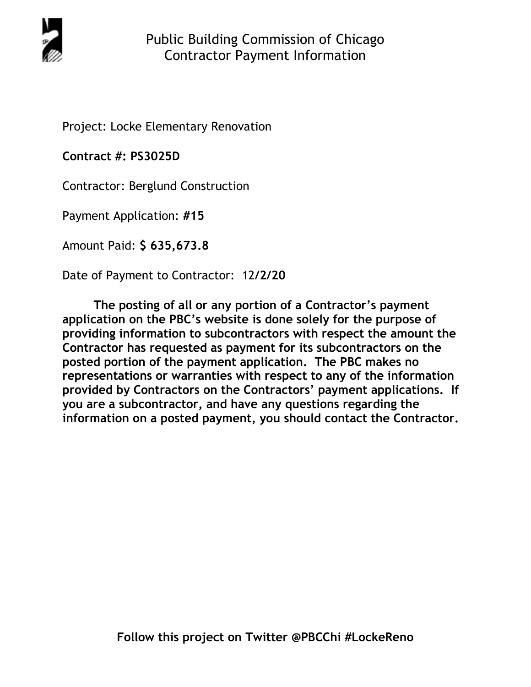

Project: Locke Elementary Renovation

**Contract #: PS3025D**

Contractor: Berglund Construction

Payment Application: **#15** 

Amount Paid: **\$ 635,673.8** 

Date of Payment to Contractor: 12**/2/20** 

**The posting of all or any portion of a Contractor's payment application on the PBC's website is done solely for the purpose of providing information to subcontractors with respect the amount the Contractor has requested as payment for its subcontractors on the posted portion of the payment application. The PBC makes no representations or warranties with respect to any of the information provided by Contractors on the Contractors' payment applications. If you are a subcontractor, and have any questions regarding the information on a posted payment, you should contact the Contractor.**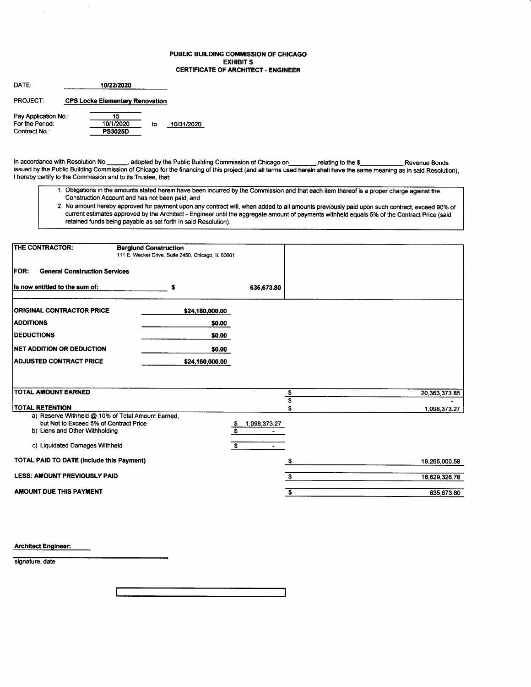### PUBLIC BUILDING COMMISSION OF CHICAGO EXHIBIT S CERTIFICATE OF ARCHITECT . ENGINEER

| DATF <sup>.</sup>    | 10/22/2020                             |    |            |
|----------------------|----------------------------------------|----|------------|
| <b>PROJECT</b>       | <b>CPS Locke Elementary Renovation</b> |    |            |
| Pay Application No.: | 15                                     |    |            |
| For the Period:      | 10/1/2020                              | to | 10/31/2020 |
| Contract No.:        | <b>PS3025D</b>                         |    |            |

Contract No.:

In accordance with Resolution No. 1, adopted by the Public Building Commission of Chicago on 1, 1, relating to the \$ issued by the Public Building Commission of Chicago for the financing of this project (and all terms used herein shall have the same meaning as in said Resolution), I hereby certify to the Commission and to its Trustee, that:

- 1. Obligations in the amounts stated herein have been incurred by the Commission and that each item thereof is a proper charge against the Construction Account and has not been paid; and
- 2. No amount hereby approved for payment upon any contract will, when added to all amounts previously paid upon such contract, exceed gO% of current estimates approved by the Architect - Engineer until the aggregate amount of payments withheld equals 5% of the Contract Price (said retained funds being payable as set forth in said Resolution).

| THE CONTRACTOR:                                                          | <b>Berglund Construction</b><br>111 E. Wacker Drive, Suite 2450, Chicago, IL 60601 |                                |               |
|--------------------------------------------------------------------------|------------------------------------------------------------------------------------|--------------------------------|---------------|
| <b>FOR:</b><br><b>General Construction Services</b>                      |                                                                                    |                                |               |
| is now entitied to the sum of:                                           |                                                                                    | 635,673.80                     |               |
| <b>ORIGINAL CONTRACTOR PRICE</b>                                         | \$24,160,000.00                                                                    |                                |               |
| <b>ADDITIONS</b>                                                         | \$0.00                                                                             |                                |               |
| <b>IDEDUCTIONS</b>                                                       | \$0.00                                                                             |                                |               |
| <b>NET ADDITION OR DEDUCTION</b>                                         | \$0.00                                                                             |                                |               |
| <b>ADJUSTED CONTRACT PRICE</b>                                           | \$24,160,000.00                                                                    |                                |               |
|                                                                          |                                                                                    |                                |               |
| <b>TOTAL AMOUNT EARNED</b>                                               |                                                                                    |                                |               |
|                                                                          |                                                                                    | \$<br>$\overline{\mathbf{s}}$  | 20,363,373.85 |
| <b>TOTAL RETENTION</b>                                                   |                                                                                    |                                | 1.098.373.27  |
| a) Reserve Withheld @ 10% of Total Amount Earned.                        |                                                                                    |                                |               |
| but Not to Exceed 5% of Contract Price<br>b) Liens and Other Withholding |                                                                                    | 1,098,373.27<br><u>s</u><br>£. |               |
|                                                                          |                                                                                    |                                |               |
| c) Liquidated Damages Withheld                                           |                                                                                    | $\mathbf{s}$                   |               |
| <b>TOTAL PAID TO DATE (Include this Payment)</b>                         |                                                                                    |                                | 19,265,000.58 |
| <b>LESS: AMOUNT PREVIOUSLY PAID</b>                                      |                                                                                    | S                              | 18,629,326.78 |
| AMOUNT DUE THIS PAYMENT                                                  |                                                                                    | \$                             | 635,673.80    |

Architect Engineer:

signature, date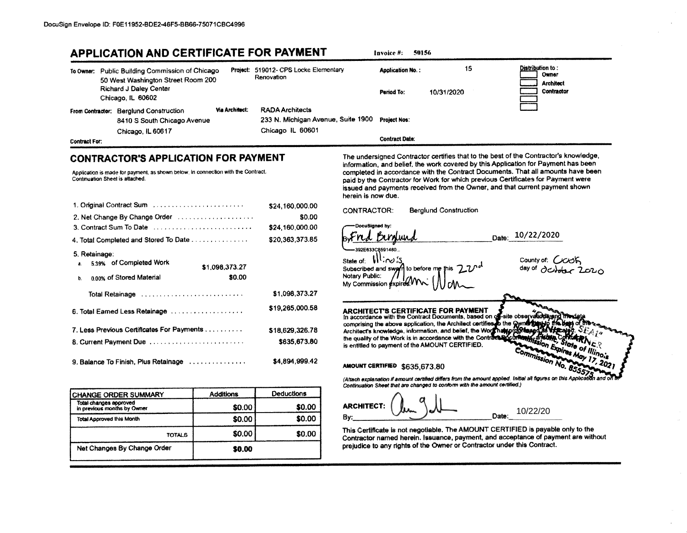| <b>APPLICATION AND CERTIFICATE FOR PAYMENT</b>                                                                                                                      |                          |                                                                                  | 50156<br>Invoice #:                                                                                                                                                                                                                                                                                                                                                                                                                                    |
|---------------------------------------------------------------------------------------------------------------------------------------------------------------------|--------------------------|----------------------------------------------------------------------------------|--------------------------------------------------------------------------------------------------------------------------------------------------------------------------------------------------------------------------------------------------------------------------------------------------------------------------------------------------------------------------------------------------------------------------------------------------------|
| To Owner: Public Building Commission of Chicago<br>50 West Washington Street Room 200<br>Richard J Daley Center<br>Chicago, IL 60602                                |                          | Project: 519012- CPS Locke Elementary<br>Renovation                              | Distribution to:<br>15<br><b>Application No.:</b><br>Owner<br><b>Architect</b><br>Contractor<br>10/31/2020<br>Period To:                                                                                                                                                                                                                                                                                                                               |
| From Contractor: Berglund Construction<br>8410 S South Chicago Avenue<br>Chicago, IL 60617                                                                          | Via Architect:           | <b>RADA Architects</b><br>233 N. Michigan Avenue, Suite 1900<br>Chicago IL 60601 | <b>Project Nos:</b>                                                                                                                                                                                                                                                                                                                                                                                                                                    |
| Contract For:                                                                                                                                                       |                          |                                                                                  | <b>Contract Date:</b>                                                                                                                                                                                                                                                                                                                                                                                                                                  |
| <b>CONTRACTOR'S APPLICATION FOR PAYMENT</b><br>Application is made for payment, as shown below, in connection with the Contract.<br>Continuation Sheet is attached. |                          |                                                                                  | The undersigned Contractor certifies that to the best of the Contractor's knowledge,<br>information, and belief, the work covered by this Application for Payment has been<br>completed in accordance with the Contract Documents. That all amounts have been<br>paid by the Contractor for Work for which previous Certificates for Payment were<br>issued and payments received from the Owner, and that current payment shown<br>herein is now due. |
| 1. Original Contract Sum Washington Contract Contract Contract Sum                                                                                                  |                          | \$24,160,000.00<br>\$0.00                                                        | <b>Berglund Construction</b><br><b>CONTRACTOR:</b>                                                                                                                                                                                                                                                                                                                                                                                                     |
| 3. Contract Sum To Date                                                                                                                                             |                          | \$24,160,000.00                                                                  | DocuSigned by:                                                                                                                                                                                                                                                                                                                                                                                                                                         |
| 4. Total Completed and Stored To Date                                                                                                                               |                          | \$20,363,373.85                                                                  | Date: 10/22/2020<br>nd Birdund                                                                                                                                                                                                                                                                                                                                                                                                                         |
| 5. Retainage:<br>5.39% of Completed Work<br>0.00% of Stored Material                                                                                                | \$1,098,373.27<br>\$0.00 |                                                                                  | 392E633C8591480.<br>state of: Wind S.<br>County of: COOK<br>Subscribed and swgrft to before me this 770 <sup>d</sup><br>Notary Public:<br>My Commission expires.                                                                                                                                                                                                                                                                                       |
| Total Retainage contracts of the contracts and a Total Retainage                                                                                                    |                          | \$1,098,373.27                                                                   |                                                                                                                                                                                                                                                                                                                                                                                                                                                        |
| 6. Total Earned Less Retainage                                                                                                                                      |                          | \$19,265,000.58                                                                  | ARCHITECT'S CERTIFICATE FOR PAYMENT<br>In accordance with the Contract Documents, based on of site observations and The server comprising the above application, the Architect certifies to the Qyvin the Health of the Server Ar                                                                                                                                                                                                                      |
| 7. Less Previous Certificates For Payments                                                                                                                          |                          | \$18,629,326.78                                                                  |                                                                                                                                                                                                                                                                                                                                                                                                                                                        |
| 8. Current Payment Due                                                                                                                                              |                          | \$635,673.80                                                                     | State of Illinois                                                                                                                                                                                                                                                                                                                                                                                                                                      |
| 9. Balance To Finish, Plus Retainage                                                                                                                                |                          | \$4,894,999.42                                                                   | Commission A<br>AMOUNT CERTIFIED \$635,673.80                                                                                                                                                                                                                                                                                                                                                                                                          |
|                                                                                                                                                                     |                          |                                                                                  | (Attach explanation if amount certified differs from the amount applied. Initial all figures on this Application and on<br>Continuation Sheet that are changed to conform with the amount certified.)                                                                                                                                                                                                                                                  |
| <b>CHANGE ORDER SUMMARY</b>                                                                                                                                         | <b>Additions</b>         | Deductions                                                                       |                                                                                                                                                                                                                                                                                                                                                                                                                                                        |
| Total changes approved<br>in previous months by Owner                                                                                                               | \$0.00                   | \$0.00                                                                           | <b>ARCHITECT:</b><br>10/22/20                                                                                                                                                                                                                                                                                                                                                                                                                          |
| <b>Total Approved this Month</b>                                                                                                                                    | \$0.00                   | \$0.00                                                                           | Date:<br>By:                                                                                                                                                                                                                                                                                                                                                                                                                                           |
| <b>TOTALS</b>                                                                                                                                                       | \$0.00                   | \$0.00                                                                           | This Certificate is not negotiable. The AMOUNT CERTIFIED is payable only to the<br>Contractor named herein. Issuance, payment, and acceptance of payment are without                                                                                                                                                                                                                                                                                   |
| Net Changes By Change Order                                                                                                                                         | \$0.00                   |                                                                                  | prejudice to any rights of the Owner or Contractor under this Contract.                                                                                                                                                                                                                                                                                                                                                                                |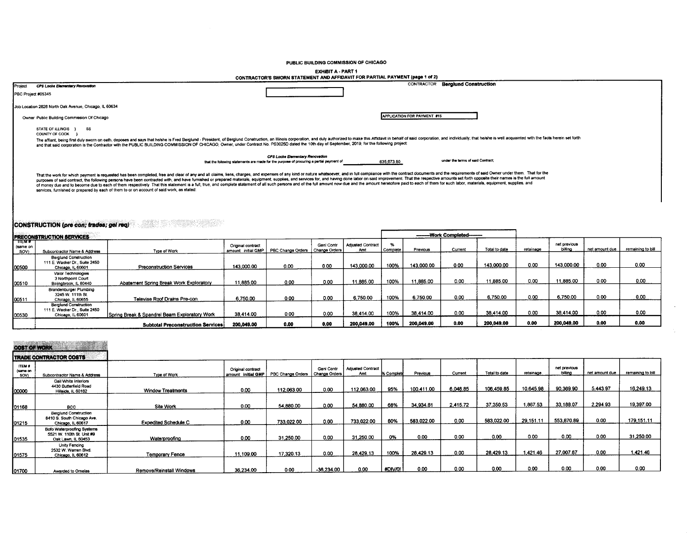#### PUBLIC BUILDING COMMISSION OF CHICAGO

# EXHIBIT A - PART 1<br>CONTRACTOR'S SWORN STATEMENT AND AFFIDAVIT FOR PARTIAL PAYMENT (page 1 of 2)

|                    |                                                                                           | CONTRACTOR 3 SHORN STATEMENT AND ALLIGATED VILLAGED AT HER CHARGE.                                                                                                                                                                                                                                                                                                                                                                                                                                                                                                                                                                                                                                 |                                            |
|--------------------|-------------------------------------------------------------------------------------------|----------------------------------------------------------------------------------------------------------------------------------------------------------------------------------------------------------------------------------------------------------------------------------------------------------------------------------------------------------------------------------------------------------------------------------------------------------------------------------------------------------------------------------------------------------------------------------------------------------------------------------------------------------------------------------------------------|--------------------------------------------|
| Project            | CPS Locke Elementary Revovation                                                           |                                                                                                                                                                                                                                                                                                                                                                                                                                                                                                                                                                                                                                                                                                    | <b>Berglund Construction</b><br>CONTRACTOR |
| PBC Project #05345 |                                                                                           |                                                                                                                                                                                                                                                                                                                                                                                                                                                                                                                                                                                                                                                                                                    |                                            |
|                    | Job Location 2828 North Oak Avenue, Chicago, IL 60634                                     |                                                                                                                                                                                                                                                                                                                                                                                                                                                                                                                                                                                                                                                                                                    |                                            |
|                    | Owner Public Building Commission Of Chicago                                               |                                                                                                                                                                                                                                                                                                                                                                                                                                                                                                                                                                                                                                                                                                    | <b>APPLICATION FOR PAYMENT #15</b>         |
|                    | STATE OF ILLINOIS }<br>SS<br>COUNTY OF COOK                                               | The affiant, being first duly sworn on oath, deposes and says that hershe is Fred Berglund - President, of Berglund Construction, an Illinois corporation, and duly authorized to make this Affidavit in behalf of said corpor<br>and that said corporation is the Contractor with the PUBLIC BUILDING COMMISSION OF CHICAGO, Owner, under Contract No. PS3025D dated the 10th day of September, 2019, for the following project:                                                                                                                                                                                                                                                                  |                                            |
|                    |                                                                                           | CPS Locke Elementary Renovation<br>635,673.80<br>that the following statements are made for the purpose of procuring a partial payment of                                                                                                                                                                                                                                                                                                                                                                                                                                                                                                                                                          | under the terms of said Contract:          |
|                    | services, furnished or prepared by each of them to or on account of said work, as stated: | That the work for which payment is requested has been completed, free and clear of any and all claims, liens, charges, and expenses of any kind or nature whatsoever, and in full compliance with the contract documents and t<br>purposes of said contract, the following persons have been contracted with, and have furnished or prepared materials, equipment, supplies, and services for, and having done labor on said improvement. That the respective am<br>of money due and to become due to each of them respectively. That this statement is a full, true, and complete statement of all such persons and of the full amount now due and the amount heretofore paid to each of them for |                                            |

# **CONSTRUCTION (pre con; trades; gel req)**

| <b>PRECONSTRUCTION SERVICES</b> |                                                                                    |                                               |                                          |                   |                             |                                 |          | -------Work Completed-------- |         |               |           |                         |                |                   |
|---------------------------------|------------------------------------------------------------------------------------|-----------------------------------------------|------------------------------------------|-------------------|-----------------------------|---------------------------------|----------|-------------------------------|---------|---------------|-----------|-------------------------|----------------|-------------------|
| TTEM #<br>(same on<br>SOV)      | Subcontractor Name & Address                                                       | Type of Work                                  | Original contract<br>amount: initial GMP | PBC Change Orders | Geni Contr<br>Change Orders | <b>Adjusted Contract</b><br>Amt | Complete | Previous                      | Current | Total to date | retainage | net previous<br>billing | net amount due | remaining to bill |
| 00500                           | <b>Berglund Construction</b><br>111 E. Wacker Dr., Suite 2450<br>Chicago, IL 60601 | Preconstruction Services                      | 143,000.00                               | 0.00              | 0.00                        | 143,000.00                      | 100%     | 143,000.00                    | 0.00    | 143.000.00    | 0.00      | 143.000.00              | 0.00           | 0.00              |
| 00510                           | Valor Technologies<br>3 Northpoint Court<br>Bolingbrook, IL 60440                  | Abatement Spring Break Work Exploratory       | 11,885.00                                | 0.00              | 0.00                        | 11,885.00                       | 100%     | 11,885.00                     | 0.00    | 11.885.00     | 0.00      | 11,885.00               | 0.00           | 0.00              |
| 00511                           | Brandenburger Plumbing<br>3245 W. 111th St.<br>Chicago, IL 60655                   | Televise Roof Drains Pre-con                  | 6,750.00                                 | 0.00              | 0.00                        | 6,750.00                        | 100%     | 6,750.00                      | 0.00    | 6,750.00      | 0.00      | 6,750.00                | 0.00           | 0.00              |
| 00530                           | <b>Beralund Construction</b><br>111 E. Wacker Dr., Suite 2450<br>Chicago, IL 60601 | Spring Break & Spandrel Beam Exploratory Work | 38.414.00                                | 0.00              | 0.00                        | 38.414.00                       | 100%     | 38.414.00                     | 0.00    | 38.414.00     | 0.00      | 38.414.00               | 0.00           | 0.00              |
|                                 |                                                                                    | <b>Subtotal Preconstruction Services</b>      | 200,049.00                               | 0.00              | 0.00                        | 200,049.00                      | 100%     | 200.049.00                    | 0.00    | 200.049.00    | 0.00      | 200,049.00              | 0.00           | 0.00              |

 $\mathcal{L}^{\mathcal{L}}$ 

÷.

### COST OF WORK

|                                   | <b>ITRADE CONTRACTOR COSTS</b>                                                  |                             |                                          |                   |                             |                                 |            |            |          |               |           |                         |                |                   |
|-----------------------------------|---------------------------------------------------------------------------------|-----------------------------|------------------------------------------|-------------------|-----------------------------|---------------------------------|------------|------------|----------|---------------|-----------|-------------------------|----------------|-------------------|
| <b>ITEM #</b><br>(same on<br>SOV) | Subcontractor Name & Address                                                    | Type of Work                | Original contract<br>amount: initial GMP | PBC Change Orders | Geni Contr<br>Change Orders | <b>Adjusted Contract</b><br>Amt | % Complete | Previous   | Current  | Total to date | retainage | net previous<br>billing | net amount due | remaining to bill |
| 00000                             | Gail White Interiors<br>4430 Butterfield Road<br>Hillside, IL 60162             | <b>Window Treatments</b>    | 0.00                                     | 112.063.00        | 0.00                        | 112,063.00                      | 95%        | 100,411.00 | 6,048.85 | 106.459.85    | 10.645.98 | 90.369.90               | 5,443.97       | 16,249.13         |
| 01168                             | <b>BCC</b>                                                                      | Site Work                   | 0.00                                     | 54,880.00         | 0.00                        | 54,880.00                       | 68%        | 34,934.81  | 2,415.72 | 37,350.53     | 867.53    | 33,188.07               | 2.294.93       | 19.397.00         |
| 01215                             | <b>Berglund Construction</b><br>8410 S. South Chicago Ave.<br>Chicago, IL 60617 | <b>Expedited Schedule C</b> | 0.00                                     | 733.022.00        | 0.00                        | 733,022.00                      | 80%        | 583,022.00 | 0.00     | 583.022.00    | 29.151.11 | 553,870.89              | 0.00           | 179,151.11        |
| 01535                             | Bofo Waterproofing Systems<br>5521 W. 110th St. Unit #9<br>Oak Lawn, IL 60453   | Waterproofing               | 0.00                                     | 31.250.00         | 0.00                        | 31.250.00                       | 0%         | 0.00       | 0.00     | 0.00          | 0.00      | 0.00                    | 0.00           | 31,250.00         |
| 01575                             | Unity Fencing<br>2532 W. Warren Blvd.<br>Chicago, IL 60612                      | <b>Temporary Fence</b>      | 11,109.00                                | 17.320.13         | 0.00                        | 28,429.13                       | 100%       | 28,429.13  | 0.00     | 28.429.13     | 1.421.46  | 27,007.67               | 0.00           | 1,421.46          |
| 01700                             | Awarded to Ornelas                                                              | Remove/Reinstall Windows    | 36,234.00                                | 0.00              | $-36.234.00$                | 0.00                            | #DIV/0!    | 0.00       | 0.00     | 0.00          | 0.00      | 0.00                    | 0.00           | $0.00 -$          |